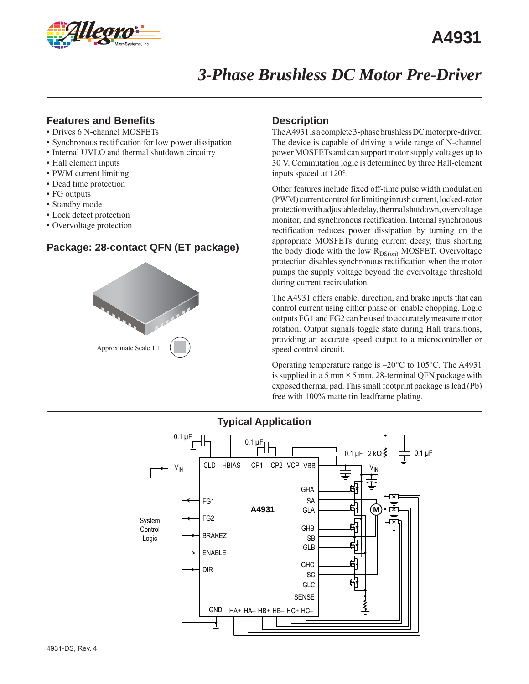

# *3-Phase Brushless DC Motor Pre-Driver*

### **Features and Benefits**

- Drives 6 N-channel MOSFETs
- Synchronous rectification for low power dissipation
- Internal UVLO and thermal shutdown circuitry
- Hall element inputs
- PWM current limiting
- Dead time protection
- FG outputs
- Standby mode
- Lock detect protection
- Overvoltage protection

### **Package: 28-contact QFN (ET package)**



#### **Description**

The A4931 is a complete 3-phase brushless DC motor pre-driver. The device is capable of driving a wide range of N-channel power MOSFETs and can support motor supply voltages up to 30 V. Commutation logic is determined by three Hall-element inputs spaced at 120°.

Other features include fixed off-time pulse width modulation (PWM) current control for limiting inrush current, locked-rotor protection with adjustable delay, thermal shutdown, overvoltage monitor, and synchronous rectification. Internal synchronous rectification reduces power dissipation by turning on the appropriate MOSFETs during current decay, thus shorting the body diode with the low  $R_{DS(on)}$  MOSFET. Overvoltage protection disables synchronous rectification when the motor pumps the supply voltage beyond the overvoltage threshold during current recirculation.

The A4931 offers enable, direction, and brake inputs that can control current using either phase or enable chopping. Logic outputs FG1 and FG2 can be used to accurately measure motor rotation. Output signals toggle state during Hall transitions, providing an accurate speed output to a microcontroller or speed control circuit.

Operating temperature range is –20°C to 105°C. The A4931 is supplied in a 5 mm  $\times$  5 mm, 28-terminal QFN package with exposed thermal pad. This small footprint package is lead (Pb) free with 100% matte tin leadframe plating.



# **Typical Application**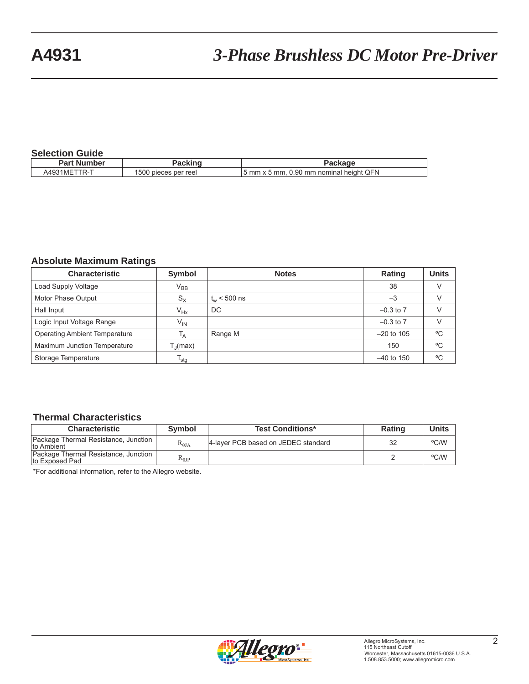#### **Selection Guide**

| _______________       |                         |                                              |
|-----------------------|-------------------------|----------------------------------------------|
| Part Number           |                         |                                              |
| $IR-1$<br>1M⊢<br>449. | 1500<br>pieces per reel | ' heiaht QFN<br>5 mm x 5 mm, 0.90 mm nominal |
|                       |                         |                                              |

## **Absolute Maximum Ratings**

| <b>Characteristic</b>                | Symbol            | <b>Notes</b>     | Rating        | <b>Units</b> |
|--------------------------------------|-------------------|------------------|---------------|--------------|
| Load Supply Voltage                  | $V_{BB}$          |                  | 38            |              |
| Motor Phase Output                   | $S_{\rm X}$       | $t_{w}$ < 500 ns | $-3$          |              |
| Hall Input                           | $V_{Hx}$          | DC               | $-0.3$ to $7$ |              |
| Logic Input Voltage Range            | $V_{IN}$          |                  | $-0.3$ to $7$ |              |
| <b>Operating Ambient Temperature</b> | <sup>1</sup> A    | Range M          | $-20$ to 105  | °C           |
| Maximum Junction Temperature         | $T_{\rm J}$ (max) |                  | 150           | $^{\circ}$ C |
| Storage Temperature                  | $T_{\text{stg}}$  |                  | $-40$ to 150  | °C           |

#### **Thermal Characteristics**

| <b>Characteristic</b>                                  | <b>Symbol</b> | <b>Test Conditions*</b>             | <b>Rating</b> | <b>Units</b> |
|--------------------------------------------------------|---------------|-------------------------------------|---------------|--------------|
| Package Thermal Resistance, Junction<br>Ito Ambient    | $R_{0IA}$     | 4-laver PCB based on JEDEC standard | 32            | °C/W         |
| Package Thermal Resistance, Junction<br>to Exposed Pad | $R_{0JP}$     |                                     |               | °C/W         |

\*For additional information, refer to the Allegro website.

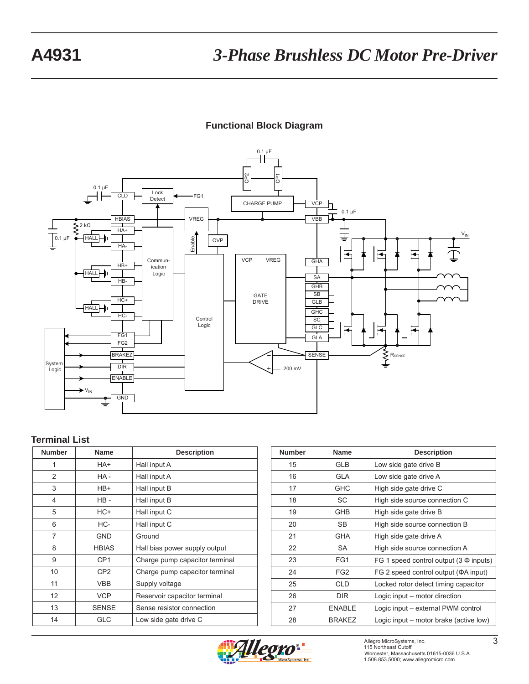## **Functional Block Diagram**



#### **Terminal List**

| <b>Number</b>  | <b>Name</b>     | <b>Description</b>             |
|----------------|-----------------|--------------------------------|
| 1              | HA+             | Hall input A                   |
| $\overline{2}$ | HA-             | Hall input A                   |
| 3              | HB+             | Hall input B                   |
| 4              | $HB -$          | Hall input B                   |
| 5              | HC+             | Hall input C                   |
| 6              | HC-             | Hall input C                   |
| 7              | GND             | Ground                         |
| 8              | <b>HBIAS</b>    | Hall bias power supply output  |
| 9              | CP <sub>1</sub> | Charge pump capacitor terminal |
| 10             | CP <sub>2</sub> | Charge pump capacitor terminal |
| 11             | <b>VBB</b>      | Supply voltage                 |
| 12             | <b>VCP</b>      | Reservoir capacitor terminal   |
| 13             | <b>SENSE</b>    | Sense resistor connection      |
| 14             | GLC             | Low side gate drive C          |

| <b>Number</b> | <b>Name</b>     | <b>Description</b>                           |
|---------------|-----------------|----------------------------------------------|
| 15            | <b>GLB</b>      | Low side gate drive B                        |
| 16            | <b>GLA</b>      | Low side gate drive A                        |
| 17            | <b>GHC</b>      | High side gate drive C                       |
| 18            | SC              | High side source connection C                |
| 19            | <b>GHB</b>      | High side gate drive B                       |
| 20            | SB.             | High side source connection B                |
| 21            | <b>GHA</b>      | High side gate drive A                       |
| 22            | SA              | High side source connection A                |
| 23            | FG1             | FG 1 speed control output $(3 \Phi)$ inputs) |
| 24            | FG <sub>2</sub> | FG 2 speed control output (ΦA input)         |
| 25            | CLD             | Locked rotor detect timing capacitor         |
| 26            | <b>DIR</b>      | Logic input – motor direction                |
| 27            | <b>ENABLE</b>   | Logic input – external PWM control           |
| 28            | <b>BRAKEZ</b>   | Logic input – motor brake (active low)       |

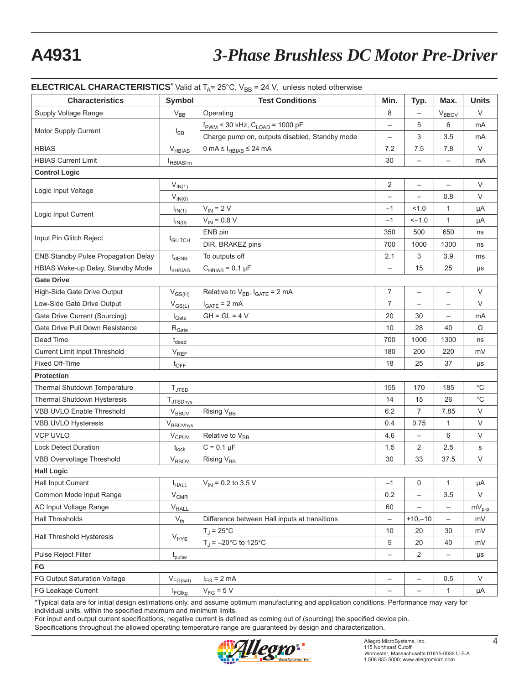# **A4931** *3-Phase Brushless DC Motor Pre-Driver*

#### **ELECTRICAL CHARACTERISTICS**<sup>\*</sup> Valid at  $T_A = 25^{\circ}$ C,  $V_{DB} = 24$  V, unless noted otherwise

| <b>Characteristics</b>               | Symbol                       | <b>Test Conditions</b>                                  | Min.                     | Typ.                     | Max.                     | <b>Units</b>                                 |  |
|--------------------------------------|------------------------------|---------------------------------------------------------|--------------------------|--------------------------|--------------------------|----------------------------------------------|--|
| Supply Voltage Range                 | $V_{BB}$                     | Operating                                               | 8                        | $\overline{\phantom{0}}$ | $V_{BBOV}$               | V                                            |  |
|                                      |                              | $f_{\text{PWM}}$ < 30 kHz, $C_{\text{LOAD}}$ = 1000 pF  | $\overline{\phantom{0}}$ | 5                        | 6                        | mA                                           |  |
| Motor Supply Current                 | $I_{BB}$                     | Charge pump on, outputs disabled, Standby mode          | $\overline{\phantom{0}}$ | 3                        | 3.5                      | mA                                           |  |
| <b>HBIAS</b>                         | $V_{HBIAS}$                  | $0 \text{ mA} \leq I_{\text{HBIAS}} \leq 24 \text{ mA}$ | 7.2                      | 7.5                      | 7.8                      | V                                            |  |
| <b>HBIAS Current Limit</b>           | <b>HBIASlim</b>              |                                                         | 30                       | $\overline{\phantom{0}}$ |                          | mA                                           |  |
| <b>Control Logic</b>                 |                              |                                                         |                          |                          |                          |                                              |  |
|                                      | $V_{IN(1)}$                  |                                                         | 2                        | $\overline{\phantom{m}}$ | $\qquad \qquad -$        | V                                            |  |
| Logic Input Voltage                  | $V_{IN(0)}$                  |                                                         | $\overline{\phantom{0}}$ | $\qquad \qquad -$        | 0.8                      | V                                            |  |
|                                      | $I_{IN(1)}$                  | $V_{IN}$ = 2 V                                          | $-1$                     | 1.0                      | $\mathbf{1}$             | μA                                           |  |
| Logic Input Current                  | $I_{IN(0)}$                  | $V_{IN} = 0.8 V$                                        | $-1$                     | $-1.0$                   | $\mathbf{1}$             | μA                                           |  |
| Input Pin Glitch Reject              |                              | ENB pin                                                 | 350                      | 500                      | 650                      | ns                                           |  |
|                                      | $t_{\text{GLITCH}}$          | DIR, BRAKEZ pins                                        | 700                      | 1000                     | 1300                     | ns                                           |  |
| ENB Standby Pulse Propagation Delay  | $t_{dENB}$                   | To outputs off                                          | 2.1                      | 3                        | 3.9                      | ms                                           |  |
| HBIAS Wake-up Delay, Standby Mode    | $t_{dHBIAS}$                 | $C_{HBIAS} = 0.1 \mu F$                                 | $\overline{\phantom{0}}$ | 15                       | 25                       | $\mu s$                                      |  |
| <b>Gate Drive</b>                    |                              |                                                         |                          |                          |                          |                                              |  |
| High-Side Gate Drive Output          | $V_{GS(H)}$                  | Relative to $V_{BB}$ , $I_{GATE} = 2 mA$                | 7                        | $\overline{\phantom{0}}$ |                          | $\vee$                                       |  |
| Low-Side Gate Drive Output           | $V_{GS(\underline{L})}$      | $I_{GATE}$ = 2 mA                                       | $\overline{7}$           | $\qquad \qquad -$        | $\overline{\phantom{m}}$ | V                                            |  |
| Gate Drive Current (Sourcing)        | $I_{\text{Gate}}$            | $GH = GL = 4 V$                                         | 20                       | 30                       |                          | mA                                           |  |
| Gate Drive Pull Down Resistance      | $\rm R_{\rm Gate}$           |                                                         | 10                       | 28                       | 40                       | Ω                                            |  |
| Dead Time                            | $t_{dead}$                   |                                                         | 700                      | 1000                     | 1300                     | ns                                           |  |
| <b>Current Limit Input Threshold</b> | $\mathsf{V}_{\mathsf{REF}}$  |                                                         | 180                      | 200                      | 220                      | mV                                           |  |
| Fixed Off-Time                       | $t_{\text{OFF}}$             |                                                         | 18                       | 25                       | 37                       | μs                                           |  |
| <b>Protection</b>                    |                              |                                                         |                          |                          |                          |                                              |  |
| Thermal Shutdown Temperature         | $T_{\mathsf{JTSD}}$          |                                                         | 155                      | 170                      | 185                      | $^{\circ}{\rm C}$                            |  |
| Thermal Shutdown Hysteresis          | TJTSDhys                     |                                                         | 14                       | 15                       | 26                       | $^{\circ}{\rm C}$                            |  |
| <b>VBB UVLO Enable Threshold</b>     | <b>VBBUV</b>                 | Rising V <sub>BB</sub>                                  | 6.2                      | $\overline{7}$           | 7.85                     | $\vee$                                       |  |
| VBB UVLO Hysteresis                  | VBBUVhys                     |                                                         | 0.4                      | 0.75                     | $\mathbf{1}$             | V                                            |  |
| <b>VCP UVLO</b>                      | <b>V<sub>CPUV</sub></b>      | Relative to V <sub>BB</sub>                             | 4.6                      | $\overline{\phantom{0}}$ | 6                        | V                                            |  |
| <b>Lock Detect Duration</b>          | $t_{lock}$                   | $C = 0.1 \mu F$                                         | 1.5                      | $\overline{2}$           | 2.5                      | s                                            |  |
| <b>VBB Overvoltage Threshold</b>     | $V_{BBOV}$                   | Rising V <sub>BB</sub>                                  | 30                       | 33                       | 37.5                     | $\vee$                                       |  |
| <b>Hall Logic</b>                    |                              |                                                         |                          |                          |                          |                                              |  |
| Hall Input Current                   | $I_{HALL}$                   | $V_{\text{IN}}$ = 0.2 to 3.5 V                          | $-1$                     | 0                        | $\mathbf{1}$             | μA                                           |  |
| Common Mode Input Range              | $\rm V_{CMR}$                |                                                         | 0.2                      | —                        | 3.5                      | V                                            |  |
| AC Input Voltage Range               | $\mathsf{V}_{\mathsf{HALL}}$ |                                                         | 60                       | $\qquad \qquad -$        | $\overline{\phantom{a}}$ | $\mathsf{mV}_{\mathsf{p}\text{-}\mathsf{p}}$ |  |
| <b>Hall Thresholds</b>               | $V_{th}$                     | Difference between Hall inputs at transitions           | $\overline{\phantom{0}}$ | $+10,-10$                | $\overline{\phantom{0}}$ | mV                                           |  |
| Hall Threshold Hysteresis            |                              | $T_J = 25^{\circ}C$                                     | 10                       | 20                       | 30                       | mV                                           |  |
|                                      | $V_{HYS}$                    | $T_{\rm J}$ = -20°C to 125°C                            | 5                        | 20                       | 40                       | mV                                           |  |
| Pulse Reject Filter                  | $t_{\text{pulse}}$           |                                                         | $\overline{\phantom{0}}$ | $\overline{c}$           | $\qquad \qquad -$        | $\mu s$                                      |  |
| FG                                   |                              |                                                         |                          |                          |                          |                                              |  |
| FG Output Saturation Voltage         | $V_{FG(sat)}$                | $I_{FG}$ = 2 mA                                         | -                        | $\qquad \qquad -$        | 0.5                      | $\vee$                                       |  |
| FG Leakage Current                   | $I_{\text{FGIkg}}$           | $V_{FG}$ = 5 V                                          | $\overline{\phantom{0}}$ | $\qquad \qquad -$        | $\mathbf{1}$             | μA                                           |  |

\*Typical data are for initial design estimations only, and assume optimum manufacturing and application conditions. Performance may vary for individual units, within the specified maximum and minimum limits.

For input and output current specifications, negative current is defined as coming out of (sourcing) the specified device pin. Specifications throughout the allowed operating temperature range are guaranteed by design and characterization.

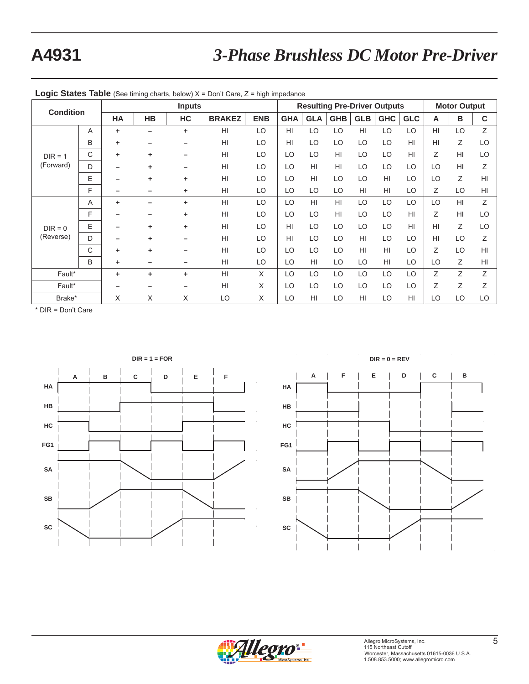# **A4931** *3-Phase Brushless DC Motor Pre-Driver*

|           |                        | <b>Inputs</b> |           |    |               |            | <b>Resulting Pre-Driver Outputs</b> |                 |            |            |            |                | <b>Motor Output</b> |    |                |
|-----------|------------------------|---------------|-----------|----|---------------|------------|-------------------------------------|-----------------|------------|------------|------------|----------------|---------------------|----|----------------|
|           | <b>Condition</b><br>HA |               | <b>HB</b> | HC | <b>BRAKEZ</b> | <b>ENB</b> | <b>GHA</b>                          | <b>GLA</b>      | <b>GHB</b> | <b>GLB</b> | <b>GHC</b> | <b>GLC</b>     | A                   | B  | C              |
|           | A                      | ٠             |           | ÷  | HI            | LO         | HI                                  | LO              | LO         | HI         | LO         | LO             | HI                  | LO | Z              |
|           | B                      | ٠             |           |    | HI            | LO         | HI                                  | LO              | LO         | LO         | LO         | H <sub>l</sub> | HI                  | Ζ  | LO             |
| $DIR = 1$ | C                      | ٠             | ٠         |    | HI            | LO         | LO                                  | LO              | HI         | LO         | LO         | HI             | Ζ                   | HI | LO             |
| (Forward) | D                      |               | ٠         |    | HI            | LO         | LO                                  | H <sub>II</sub> | HI         | LO         | LO         | LO             | LO                  | HI | Ζ              |
|           | E                      |               | ٠         |    | HI            | LO         | LO                                  | H <sub>II</sub> | LO         | LO         | HI         | LO             | LO                  | Ζ  | H <sub>l</sub> |
|           | F                      |               |           | ٠  | HI            | LO         | LO                                  | LO              | LO.        | HI         | HI         | LO             | Ζ                   | LO | H <sub>l</sub> |
|           | A                      | ٠             |           | ٠  | HI            | LO         | LO                                  | H <sub>l</sub>  | HI         | LO         | LO         | LO             | LO                  | HI | Z              |
|           | F                      |               |           | ٠  | HI            | LO         | LO                                  | LO              | HI         | LO         | LO         | HI             | Ζ                   | HI | LO             |
| $DIR = 0$ | E                      |               | ٠         | ٠  | HI            | LO         | H <sub>l</sub>                      | LO              | LO         | LO         | LO         | H <sub>l</sub> | HI                  | Ζ  | LO             |
| (Reverse) | D                      |               | ٠         |    | HI            | LO         | HI                                  | LO              | LO         | HI         | LO         | LO             | HI                  | LO | Z              |
|           | C                      | ٠             | ٠         |    | HI            | LO         | LO                                  | LO              | LO         | HI         | HI         | LO             | Ζ                   | LO | H <sub>l</sub> |
|           | B                      | ٠             |           |    | HI            | LO         | LO                                  | HI              | LO         | LO         | HI         | LO             | LO                  | Ζ  | HI             |
| Fault*    |                        | ٠             | ٠         | ٠  | HI            | X          | LO                                  | LO              | LO         | LO         | LO         | LO             | Ζ                   | Z  | Ζ              |
| Fault*    |                        |               |           |    | HI            | X          | LO                                  | LO              | LO         | LO         | LO         | LO             | Z                   | Ζ  | Z              |
| Brake*    |                        | X             | X         | X  | LO            | X          | LO                                  | HI              | LO         | HI         | LO         | HI             | LO                  | LO | LO             |

**Logic States Table** (See timing charts, below) X = Don't Care, Z = high impedance

\* DIR = Don't Care





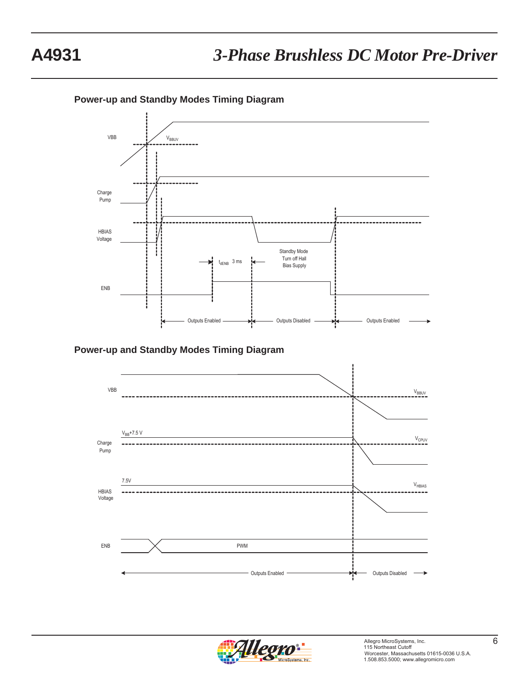**Power-up and Standby Modes Timing Diagram**





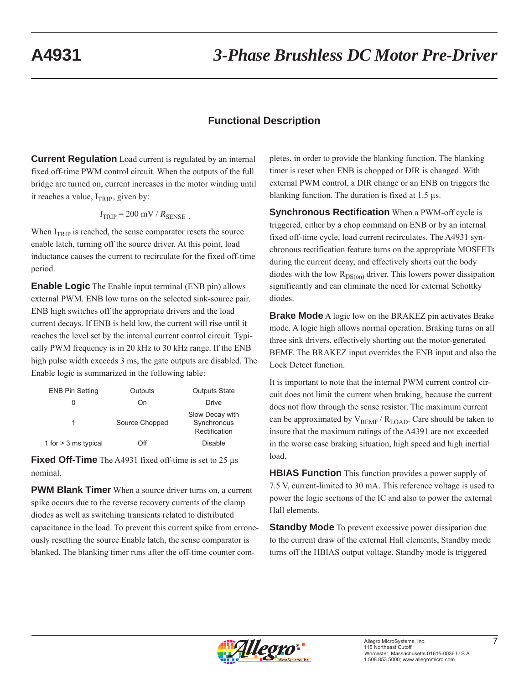## **Functional Description**

**Current Regulation** Load current is regulated by an internal fixed off-time PWM control circuit. When the outputs of the full bridge are turned on, current increases in the motor winding until it reaches a value,  $I_{TRIP}$ , given by:

$$
I_{\rm TRIP} = 200 \, \text{mV} / R_{\rm SENSE}
$$

When  $I_{TRIP}$  is reached, the sense comparator resets the source enable latch, turning off the source driver. At this point, load inductance causes the current to recirculate for the fixed off-time period.

**Enable Logic** The Enable input terminal (ENB pin) allows external PWM. ENB low turns on the selected sink-source pair. ENB high switches off the appropriate drivers and the load current decays. If ENB is held low, the current will rise until it reaches the level set by the internal current control circuit. Typically PWM frequency is in 20 kHz to 30 kHz range. If the ENB high pulse width exceeds 3 ms, the gate outputs are disabled. The Enable logic is summarized in the following table:

| <b>ENB Pin Setting</b> | Outputs        | <b>Outputs State</b>                            |
|------------------------|----------------|-------------------------------------------------|
|                        | On             | <b>Drive</b>                                    |
|                        | Source Chopped | Slow Decay with<br>Synchronous<br>Rectification |
| 1 for $>$ 3 ms typical | Off            | Disable                                         |

**Fixed Off-Time** The A4931 fixed off-time is set to 25 μs nominal.

**PWM Blank Timer** When a source driver turns on, a current spike occurs due to the reverse recovery currents of the clamp diodes as well as switching transients related to distributed capacitance in the load. To prevent this current spike from erroneously resetting the source Enable latch, the sense comparator is blanked. The blanking timer runs after the off-time counter completes, in order to provide the blanking function. The blanking timer is reset when ENB is chopped or DIR is changed. With external PWM control, a DIR change or an ENB on triggers the blanking function. The duration is fixed at 1.5 μs.

**Synchronous Rectification** When a PWM-off cycle is triggered, either by a chop command on ENB or by an internal fixed off-time cycle, load current recirculates. The A4931 synchronous rectification feature turns on the appropriate MOSFETs during the current decay, and effectively shorts out the body diodes with the low  $R_{DS(on)}$  driver. This lowers power dissipation significantly and can eliminate the need for external Schottky diodes.

**Brake Mode** A logic low on the BRAKEZ pin activates Brake mode. A logic high allows normal operation. Braking turns on all three sink drivers, effectively shorting out the motor-generated BEMF. The BRAKEZ input overrides the ENB input and also the Lock Detect function.

It is important to note that the internal PWM current control circuit does not limit the current when braking, because the current does not flow through the sense resistor. The maximum current can be approximated by  $V_{BEMF} / R_{LOAD}$ . Care should be taken to insure that the maximum ratings of the A4391 are not exceeded in the worse case braking situation, high speed and high inertial load.

**HBIAS Function** This function provides a power supply of 7.5 V, current-limited to 30 mA. This reference voltage is used to power the logic sections of the IC and also to power the external Hall elements.

**Standby Mode** To prevent excessive power dissipation due to the current draw of the external Hall elements, Standby mode turns off the HBIAS output voltage. Standby mode is triggered

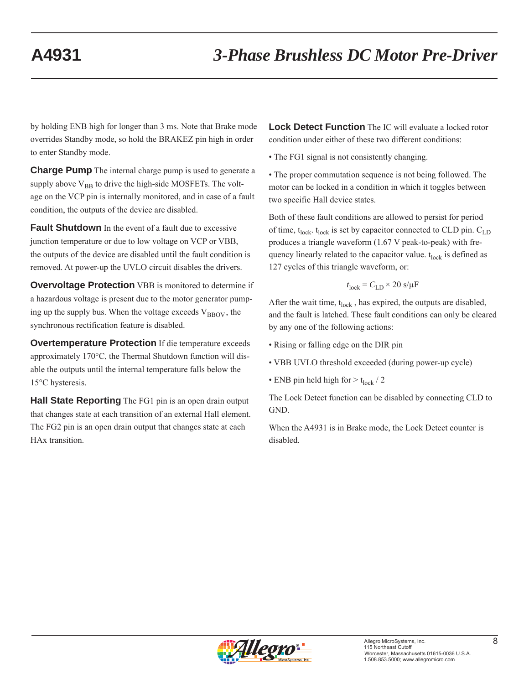by holding ENB high for longer than 3 ms. Note that Brake mode overrides Standby mode, so hold the BRAKEZ pin high in order to enter Standby mode.

**Charge Pump** The internal charge pump is used to generate a supply above  $V_{BB}$  to drive the high-side MOSFETs. The voltage on the VCP pin is internally monitored, and in case of a fault condition, the outputs of the device are disabled.

**Fault Shutdown** In the event of a fault due to excessive junction temperature or due to low voltage on VCP or VBB, the outputs of the device are disabled until the fault condition is removed. At power-up the UVLO circuit disables the drivers.

**Overvoltage Protection** VBB is monitored to determine if a hazardous voltage is present due to the motor generator pumping up the supply bus. When the voltage exceeds  $V_{\text{BBOV}}$ , the synchronous rectification feature is disabled.

**Overtemperature Protection** If die temperature exceeds approximately 170°C, the Thermal Shutdown function will disable the outputs until the internal temperature falls below the 15°C hysteresis.

**Hall State Reporting** The FG1 pin is an open drain output that changes state at each transition of an external Hall element. The FG2 pin is an open drain output that changes state at each HAx transition.

**Lock Detect Function** The IC will evaluate a locked rotor condition under either of these two different conditions:

• The FG1 signal is not consistently changing.

• The proper commutation sequence is not being followed. The motor can be locked in a condition in which it toggles between two specific Hall device states.

Both of these fault conditions are allowed to persist for period of time,  $t_{lock}$ .  $t_{lock}$  is set by capacitor connected to CLD pin.  $C_{LD}$ produces a triangle waveform (1.67 V peak-to-peak) with frequency linearly related to the capacitor value.  $t_{\text{lock}}$  is defined as 127 cycles of this triangle waveform, or:

$$
t_{\rm lock} = C_{\rm LD} \times 20 \, \text{s/}\mu\text{F}
$$

After the wait time,  $t_{lock}$ , has expired, the outputs are disabled, and the fault is latched. These fault conditions can only be cleared by any one of the following actions:

- Rising or falling edge on the DIR pin
- VBB UVLO threshold exceeded (during power-up cycle)
- ENB pin held high for  $> t_{lock}$  / 2

The Lock Detect function can be disabled by connecting CLD to GND.

When the A4931 is in Brake mode, the Lock Detect counter is disabled.